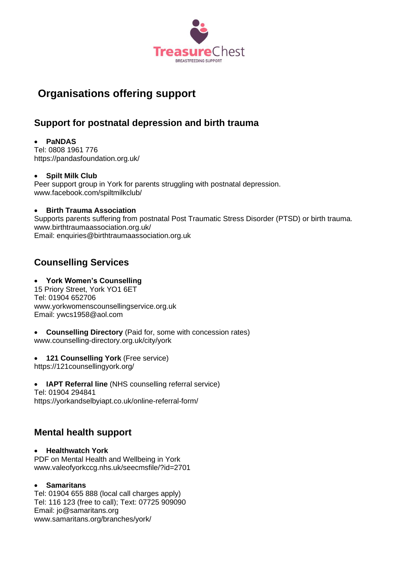

# **Organisations offering support**

## **Support for postnatal depression and birth trauma**

## • **PaNDAS**

Tel: 0808 1961 776 https://pandasfoundation.org.uk/

### • **Spilt Milk Club**

Peer support group in York for parents struggling with postnatal depression. www.facebook.com/spiltmilkclub/

### • **Birth Trauma Association**

Supports parents suffering from postnatal Post Traumatic Stress Disorder (PTSD) or birth trauma. [www.birthtraumaassociation.org.uk/](http://www.birthtraumaassociation.org.uk/) Email: [enquiries@birthtraumaassociation.org.uk](mailto:enquiries@birthtraumaassociation.org.uk)

## **Counselling Services**

### • **York Women's Counselling**

15 Priory Street, York YO1 6ET Tel: 01904 652706 www.yorkwomenscounsellingservice.org.uk Email: ywcs1958@aol.com

• **Counselling Directory** (Paid for, some with concession rates) [www.counselling-directory.org.uk/city/york](http://www.counselling-directory.org.uk/city/york)

• **121 Counselling York** (Free service)

<https://121counsellingyork.org/>

• **IAPT Referral line** (NHS counselling referral service)

Tel: 01904 294841 https://yorkandselbyiapt.co.uk/online-referral-form/

## **Mental health support**

• **Healthwatch York**  PDF on Mental Health and Wellbeing in York www.valeofyorkccg.nhs.uk/seecmsfile/?id=2701

### • **Samaritans**

Tel: 01904 655 888 (local call charges apply) Tel: 116 123 (free to call); Text: 07725 909090 Email: [jo@samaritans.org](mailto:jo@samaritans.org) www.samaritans.org/branches/york/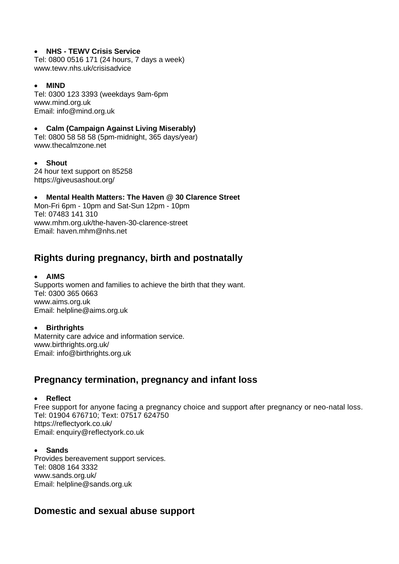#### • **NHS - TEWV Crisis Service**

Tel: 0800 0516 171 (24 hours, 7 days a week) www.tewv.nhs.uk/crisisadvice

#### • **MIND**

Tel: 0300 123 3393 (weekdays 9am-6pm [www.mind.org.uk](http://www.mind.org.uk/) Email: info@mind.org.uk

### • **Calm (Campaign Against Living Miserably)**

Tel: 0800 58 58 58 (5pm-midnight, 365 days/year) www.thecalmzone.net

• **Shout** 24 hour text support on 85258 https://giveusashout.org/

• **Mental Health Matters: The Haven @ 30 Clarence Street** Mon-Fri 6pm - 10pm and Sat-Sun 12pm - 10pm Tel: 07483 141 310 www.mhm.org.uk/the-haven-30-clarence-street Email: [haven.mhm@nhs.net](mailto:haven.mhm@nhs.net)

## **Rights during pregnancy, birth and postnatally**

### • **AIMS**

Supports women and families to achieve the birth that they want. Tel: 0300 365 0663 www.aims.org.uk Email: [helpline@aims.org.uk](mailto:helpline@aims.org.uk)

### • **Birthrights**

Maternity care advice and information service. www.birthrights.org.uk/ Email: [info@birthrights.org.uk](mailto:info@birthrights.org.uk)

## **Pregnancy termination, pregnancy and infant loss**

#### • **Reflect**

Free support for anyone facing a pregnancy choice and support after pregnancy or neo-natal loss. Tel: [01904 676710;](tel:01904%20676710) Text: [07517 624750](tel:07517%20624750) https://reflectyork.co.uk/ Email: [enquiry@reflectyork.co.uk](mailto:enquiry@reflectyork.co.uk)

#### • **Sands**

Provides bereavement support services. Tel: 0808 164 3332 [www.sands.org.uk/](http://www.sands.org.uk/) Email: [helpline@sands.org.uk](mailto:helpline@sands.org.uk)

## **Domestic and sexual abuse support**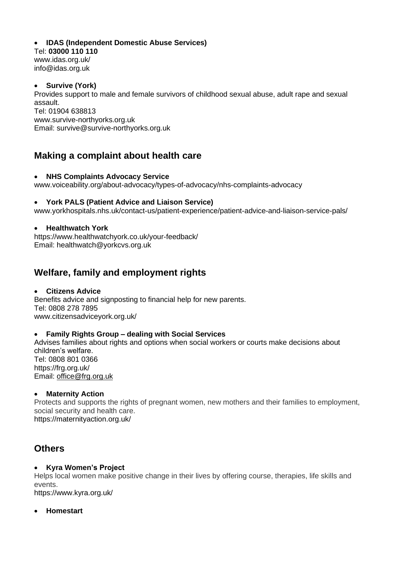### • **IDAS (Independent Domestic Abuse Services)**

Tel: **03000 110 110** www.idas.org.uk/ [info@idas.org.uk](mailto:info@idas.org.uk)

### • **Survive (York)**

Provides support to male and female survivors of childhood sexual abuse, adult rape and sexual assault. Tel: 01904 638813 www.survive-northyorks.org.uk Email: survive@survive-northyorks.org.uk

## **Making a complaint about health care**

#### • **NHS Complaints Advocacy Service**

www.voiceability.org/about-advocacy/types-of-advocacy/nhs-complaints-advocacy

#### • **York PALS (Patient Advice and Liaison Service)**

www.yorkhospitals.nhs.uk/contact-us/patient-experience/patient-advice-and-liaison-service-pals/

#### • **Healthwatch York**

<https://www.healthwatchyork.co.uk/your-feedback/> Email: [healthwatch@yorkcvs.org.uk](mailto:healthwatch@yorkcvs.org.uk)

## **Welfare, family and employment rights**

#### • **Citizens Advice**

Benefits advice and signposting to financial help for new parents. Te[l: 0808 278 7895](https://www.citizensadviceyork.org.uk/advice/) [www.citizensadviceyork.org.uk/](http://www.citizensadviceyork.org.uk/)

#### • **Family Rights Group – dealing with Social Services**

Advises families about rights and options when social workers or courts make decisions about children's welfare. Tel: [0808](tel:08088010366) 801 0366 https://frg.org.uk/ Email: [office@frg.org.uk](mailto:office@frg.org.uk)

#### • **Maternity Action**

Protects and supports the rights of pregnant women, new mothers and their families to employment, social security and health care. https://maternityaction.org.uk/

## **Others**

#### • **Kyra Women's Project**

Helps local women make positive change in their lives by offering course, therapies, life skills and events.

<https://www.kyra.org.uk/>

#### • **Homestart**